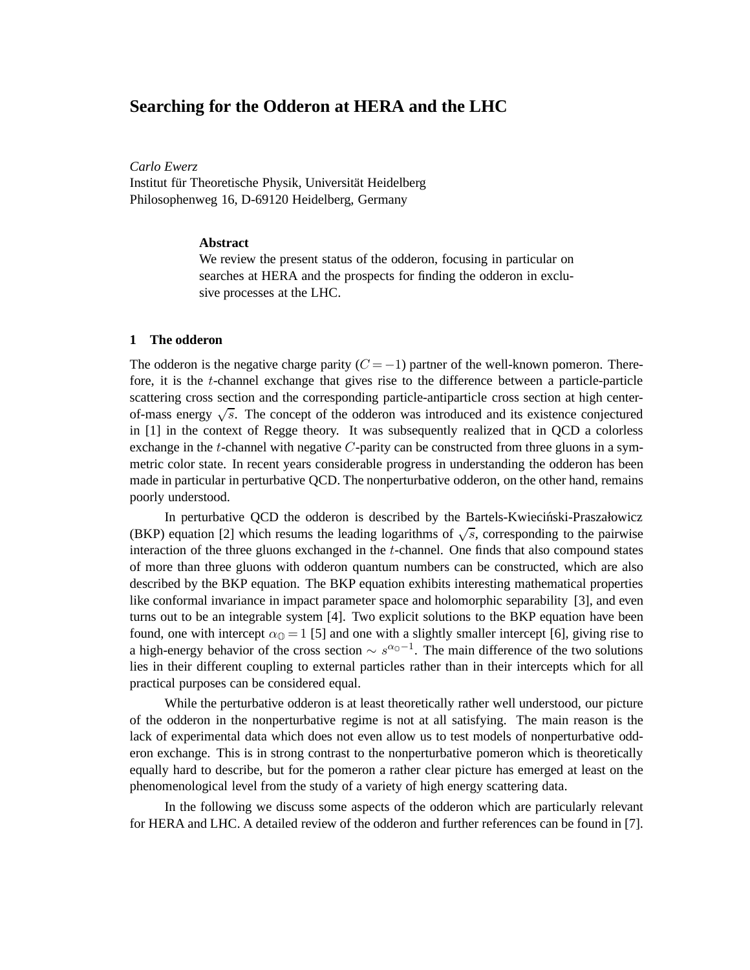# **Searching for the Odderon at HERA and the LHC**

*Carlo Ewerz*

Institut für Theoretische Physik, Universität Heidelberg Philosophenweg 16, D-69120 Heidelberg, Germany

### **Abstract**

We review the present status of the odderon, focusing in particular on searches at HERA and the prospects for finding the odderon in exclusive processes at the LHC.

## **1 The odderon**

The odderon is the negative charge parity  $(C = -1)$  partner of the well-known pomeron. Therefore, it is the t-channel exchange that gives rise to the difference between a particle-particle scattering cross section and the corresponding particle-antiparticle cross section at high centerof-mass energy  $\sqrt{s}$ . The concept of the odderon was introduced and its existence conjectured in [1] in the context of Regge theory. It was subsequently realized that in QCD a colorless exchange in the t-channel with negative  $C$ -parity can be constructed from three gluons in a symmetric color state. In recent years considerable progress in understanding the odderon has been made in particular in perturbative QCD. The nonperturbative odderon, on the other hand, remains poorly understood.

In perturbative QCD the odderon is described by the Bartels-Kwieciński-Praszałowicz (BKP) equation [2] which resums the leading logarithms of  $\sqrt{s}$ , corresponding to the pairwise interaction of the three gluons exchanged in the t-channel. One finds that also compound states of more than three gluons with odderon quantum numbers can be constructed, which are also described by the BKP equation. The BKP equation exhibits interesting mathematical properties like conformal invariance in impact parameter space and holomorphic separability [3], and even turns out to be an integrable system [4]. Two explicit solutions to the BKP equation have been found, one with intercept  $\alpha_0 = 1$  [5] and one with a slightly smaller intercept [6], giving rise to a high-energy behavior of the cross section  $\sim s^{\alpha_0-1}$ . The main difference of the two solutions lies in their different coupling to external particles rather than in their intercepts which for all practical purposes can be considered equal.

While the perturbative odderon is at least theoretically rather well understood, our picture of the odderon in the nonperturbative regime is not at all satisfying. The main reason is the lack of experimental data which does not even allow us to test models of nonperturbative odderon exchange. This is in strong contrast to the nonperturbative pomeron which is theoretically equally hard to describe, but for the pomeron a rather clear picture has emerged at least on the phenomenological level from the study of a variety of high energy scattering data.

In the following we discuss some aspects of the odderon which are particularly relevant for HERA and LHC. A detailed review of the odderon and further references can be found in [7].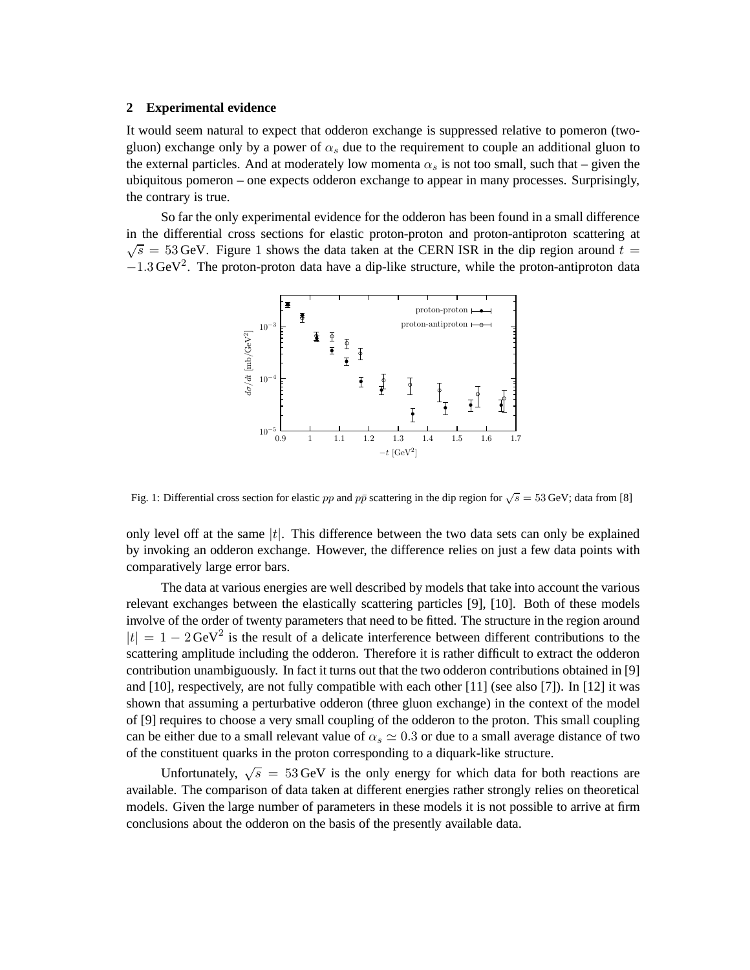#### **2 Experimental evidence**

It would seem natural to expect that odderon exchange is suppressed relative to pomeron (twogluon) exchange only by a power of  $\alpha_s$  due to the requirement to couple an additional gluon to the external particles. And at moderately low momenta  $\alpha_s$  is not too small, such that – given the ubiquitous pomeron – one expects odderon exchange to appear in many processes. Surprisingly, the contrary is true.

So far the only experimental evidence for the odderon has been found in a small difference in the differential cross sections for elastic proton-proton and proton-antiproton scattering at  $\sqrt{s}$  = 53 GeV. Figure 1 shows the data taken at the CERN ISR in the dip region around  $t =$  $-1.3 \,\text{GeV}^2$ . The proton-proton data have a dip-like structure, while the proton-antiproton data



Fig. 1: Differential cross section for elastic pp and pp scattering in the dip region for  $\sqrt{s} = 53$  GeV; data from [8]

only level off at the same  $|t|$ . This difference between the two data sets can only be explained by invoking an odderon exchange. However, the difference relies on just a few data points with comparatively large error bars.

The data at various energies are well described by models that take into account the various relevant exchanges between the elastically scattering particles [9], [10]. Both of these models involve of the order of twenty parameters that need to be fitted. The structure in the region around  $|t| = 1 - 2 \text{GeV}^2$  is the result of a delicate interference between different contributions to the scattering amplitude including the odderon. Therefore it is rather difficult to extract the odderon contribution unambiguously. In fact it turns out that the two odderon contributions obtained in [9] and [10], respectively, are not fully compatible with each other [11] (see also [7]). In [12] it was shown that assuming a perturbative odderon (three gluon exchange) in the context of the model of [9] requires to choose a very small coupling of the odderon to the proton. This small coupling can be either due to a small relevant value of  $\alpha_s \simeq 0.3$  or due to a small average distance of two of the constituent quarks in the proton corresponding to a diquark-like structure.

Unfortunately,  $\sqrt{s}$  = 53 GeV is the only energy for which data for both reactions are available. The comparison of data taken at different energies rather strongly relies on theoretical models. Given the large number of parameters in these models it is not possible to arrive at firm conclusions about the odderon on the basis of the presently available data.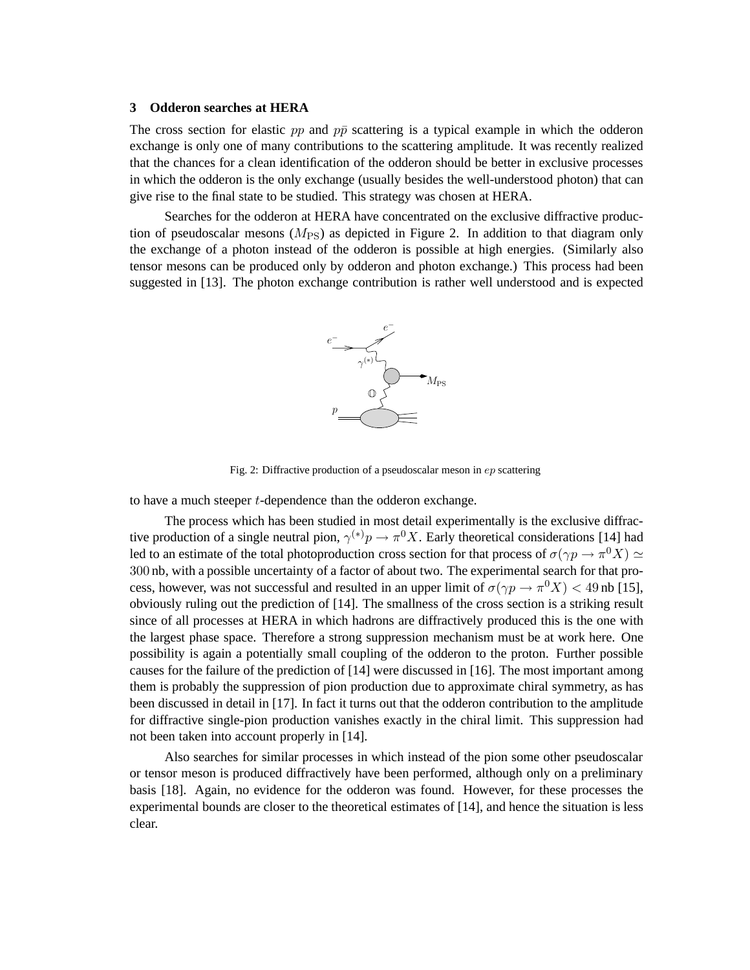#### **3 Odderon searches at HERA**

The cross section for elastic pp and  $p\bar{p}$  scattering is a typical example in which the odderon exchange is only one of many contributions to the scattering amplitude. It was recently realized that the chances for a clean identification of the odderon should be better in exclusive processes in which the odderon is the only exchange (usually besides the well-understood photon) that can give rise to the final state to be studied. This strategy was chosen at HERA.

Searches for the odderon at HERA have concentrated on the exclusive diffractive production of pseudoscalar mesons  $(M_{PS})$  as depicted in Figure 2. In addition to that diagram only the exchange of a photon instead of the odderon is possible at high energies. (Similarly also tensor mesons can be produced only by odderon and photon exchange.) This process had been suggested in [13]. The photon exchange contribution is rather well understood and is expected



Fig. 2: Diffractive production of a pseudoscalar meson in ep scattering

to have a much steeper t-dependence than the odderon exchange.

The process which has been studied in most detail experimentally is the exclusive diffractive production of a single neutral pion,  $\gamma^{(*)}p \to \pi^0 X$ . Early theoretical considerations [14] had led to an estimate of the total photoproduction cross section for that process of  $\sigma(\gamma p \to \pi^0 X) \simeq$ 300 nb, with a possible uncertainty of a factor of about two. The experimental search for that process, however, was not successful and resulted in an upper limit of  $\sigma(\gamma p \to \pi^0 X) < 49$  nb [15], obviously ruling out the prediction of [14]. The smallness of the cross section is a striking result since of all processes at HERA in which hadrons are diffractively produced this is the one with the largest phase space. Therefore a strong suppression mechanism must be at work here. One possibility is again a potentially small coupling of the odderon to the proton. Further possible causes for the failure of the prediction of [14] were discussed in [16]. The most important among them is probably the suppression of pion production due to approximate chiral symmetry, as has been discussed in detail in [17]. In fact it turns out that the odderon contribution to the amplitude for diffractive single-pion production vanishes exactly in the chiral limit. This suppression had not been taken into account properly in [14].

Also searches for similar processes in which instead of the pion some other pseudoscalar or tensor meson is produced diffractively have been performed, although only on a preliminary basis [18]. Again, no evidence for the odderon was found. However, for these processes the experimental bounds are closer to the theoretical estimates of [14], and hence the situation is less clear.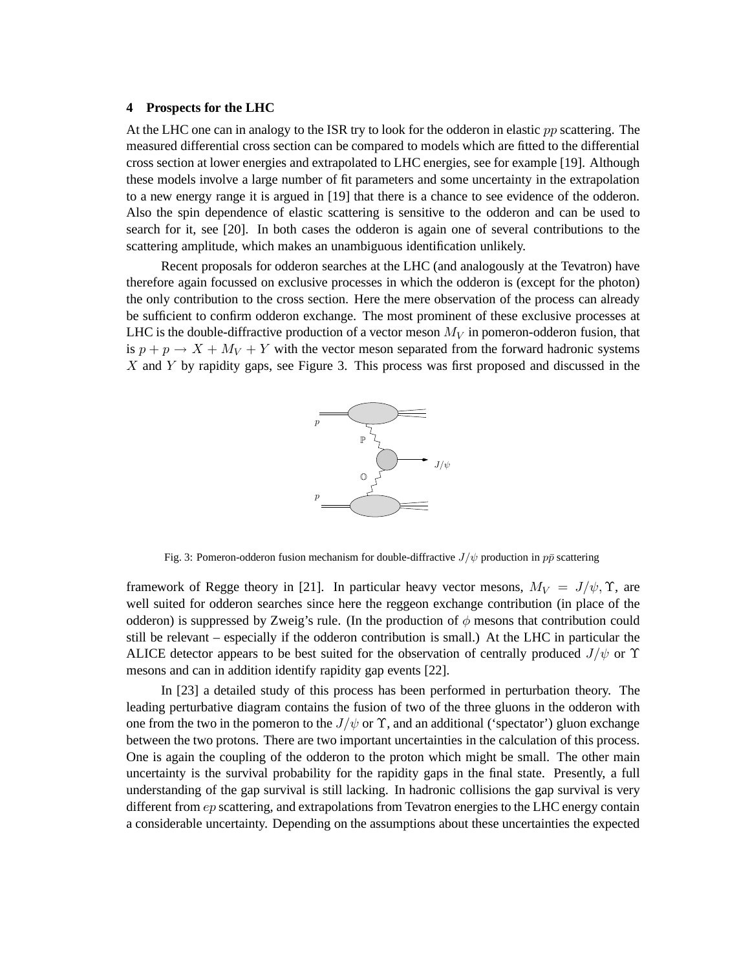#### **4 Prospects for the LHC**

At the LHC one can in analogy to the ISR try to look for the odderon in elastic  $pp$  scattering. The measured differential cross section can be compared to models which are fitted to the differential cross section at lower energies and extrapolated to LHC energies, see for example [19]. Although these models involve a large number of fit parameters and some uncertainty in the extrapolation to a new energy range it is argued in [19] that there is a chance to see evidence of the odderon. Also the spin dependence of elastic scattering is sensitive to the odderon and can be used to search for it, see [20]. In both cases the odderon is again one of several contributions to the scattering amplitude, which makes an unambiguous identification unlikely.

Recent proposals for odderon searches at the LHC (and analogously at the Tevatron) have therefore again focussed on exclusive processes in which the odderon is (except for the photon) the only contribution to the cross section. Here the mere observation of the process can already be sufficient to confirm odderon exchange. The most prominent of these exclusive processes at LHC is the double-diffractive production of a vector meson  $M_V$  in pomeron-odderon fusion, that is  $p + p \rightarrow X + M_V + Y$  with the vector meson separated from the forward hadronic systems  $X$  and  $Y$  by rapidity gaps, see Figure 3. This process was first proposed and discussed in the



Fig. 3: Pomeron-odderon fusion mechanism for double-diffractive  $J/\psi$  production in  $p\bar{p}$  scattering

framework of Regge theory in [21]. In particular heavy vector mesons,  $M_V = J/\psi$ ,  $\Upsilon$ , are well suited for odderon searches since here the reggeon exchange contribution (in place of the odderon) is suppressed by Zweig's rule. (In the production of  $\phi$  mesons that contribution could still be relevant – especially if the odderon contribution is small.) At the LHC in particular the ALICE detector appears to be best suited for the observation of centrally produced  $J/\psi$  or  $\Upsilon$ mesons and can in addition identify rapidity gap events [22].

In [23] a detailed study of this process has been performed in perturbation theory. The leading perturbative diagram contains the fusion of two of the three gluons in the odderon with one from the two in the pomeron to the  $J/\psi$  or  $\Upsilon$ , and an additional ('spectator') gluon exchange between the two protons. There are two important uncertainties in the calculation of this process. One is again the coupling of the odderon to the proton which might be small. The other main uncertainty is the survival probability for the rapidity gaps in the final state. Presently, a full understanding of the gap survival is still lacking. In hadronic collisions the gap survival is very different from ep scattering, and extrapolations from Tevatron energies to the LHC energy contain a considerable uncertainty. Depending on the assumptions about these uncertainties the expected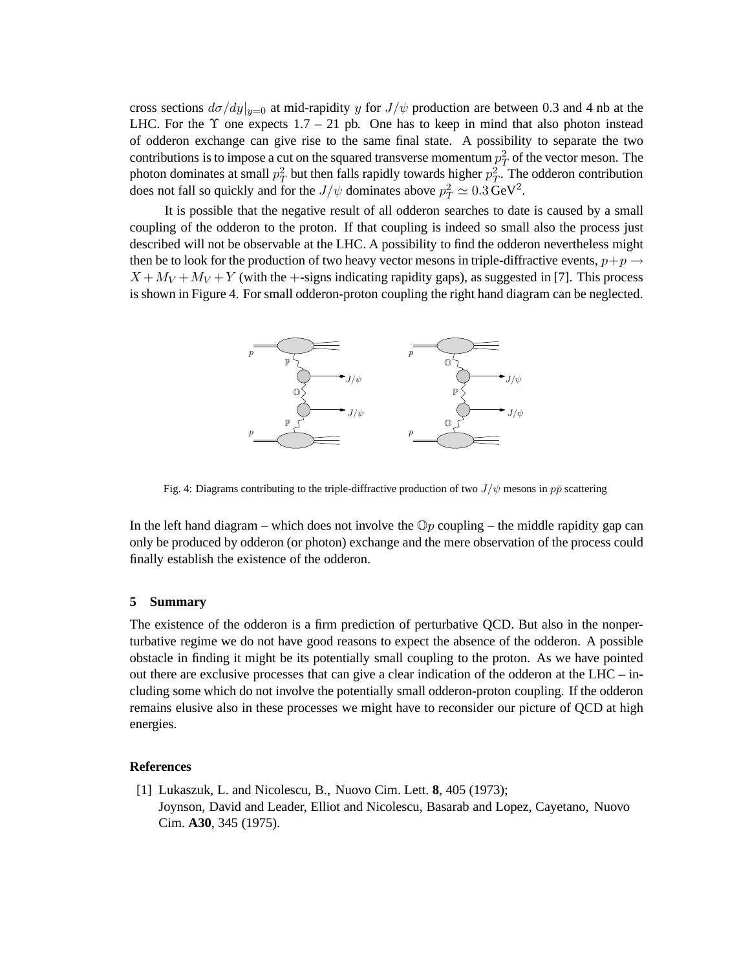cross sections  $d\sigma/dy|_{y=0}$  at mid-rapidity y for  $J/\psi$  production are between 0.3 and 4 nb at the LHC. For the  $\Upsilon$  one expects 1.7 – 21 pb. One has to keep in mind that also photon instead of odderon exchange can give rise to the same final state. A possibility to separate the two contributions is to impose a cut on the squared transverse momentum  $p_T^2$  of the vector meson. The photon dominates at small  $p_T^2$  but then falls rapidly towards higher  $p_T^2$ . The odderon contribution does not fall so quickly and for the  $J/\psi$  dominates above  $p_T^2 \simeq 0.3 \,\text{GeV}^2$ .

It is possible that the negative result of all odderon searches to date is caused by a small coupling of the odderon to the proton. If that coupling is indeed so small also the process just described will not be observable at the LHC. A possibility to find the odderon nevertheless might then be to look for the production of two heavy vector mesons in triple-diffractive events,  $p+p \rightarrow$  $X + M_V + M_V + Y$  (with the +-signs indicating rapidity gaps), as suggested in [7]. This process is shown in Figure 4. For small odderon-proton coupling the right hand diagram can be neglected.



Fig. 4: Diagrams contributing to the triple-diffractive production of two  $J/\psi$  mesons in  $p\bar{p}$  scattering

In the left hand diagram – which does not involve the  $\mathbb{O}p$  coupling – the middle rapidity gap can only be produced by odderon (or photon) exchange and the mere observation of the process could finally establish the existence of the odderon.

#### **5 Summary**

The existence of the odderon is a firm prediction of perturbative QCD. But also in the nonperturbative regime we do not have good reasons to expect the absence of the odderon. A possible obstacle in finding it might be its potentially small coupling to the proton. As we have pointed out there are exclusive processes that can give a clear indication of the odderon at the  $LHC - in$ cluding some which do not involve the potentially small odderon-proton coupling. If the odderon remains elusive also in these processes we might have to reconsider our picture of QCD at high energies.

## **References**

[1] Lukaszuk, L. and Nicolescu, B., Nuovo Cim. Lett. **8**, 405 (1973); Joynson, David and Leader, Elliot and Nicolescu, Basarab and Lopez, Cayetano, Nuovo Cim. **A30**, 345 (1975).